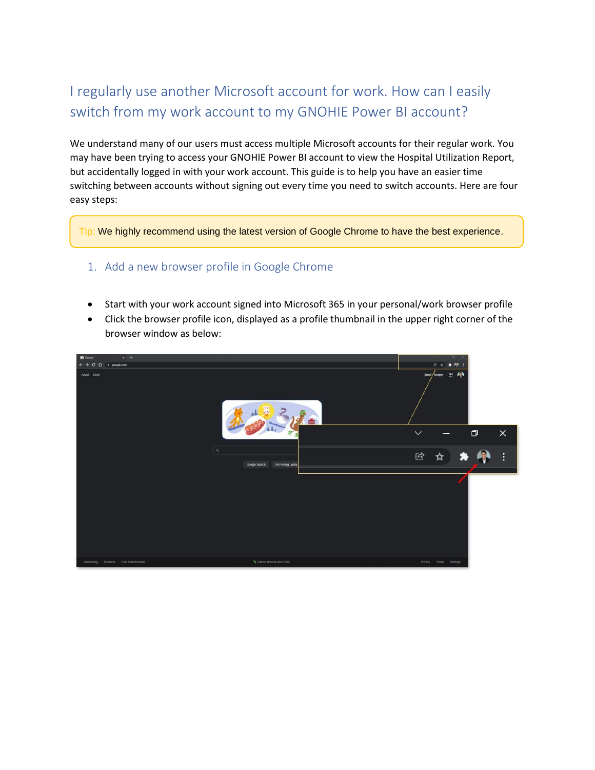# I regularly use another Microsoft account for work. How can I easily switch from my work account to my GNOHIE Power BI account?

We understand many of our users must access multiple Microsoft accounts for their regular work. You may have been trying to access your GNOHIE Power BI account to view the Hospital Utilization Report, but accidentally logged in with your work account. This guide is to help you have an easier time switching between accounts without signing out every time you need to switch accounts. Here are four easy steps:

Tip: We highly recommend using the latest version of Google Chrome to have the best experience.

## 1. Add a new browser profile in Google Chrome

- Start with your work account signed into Microsoft 365 in your personal/work browser profile
- Click the browser profile icon, displayed as a profile thumbnail in the upper right corner of the browser window as below:

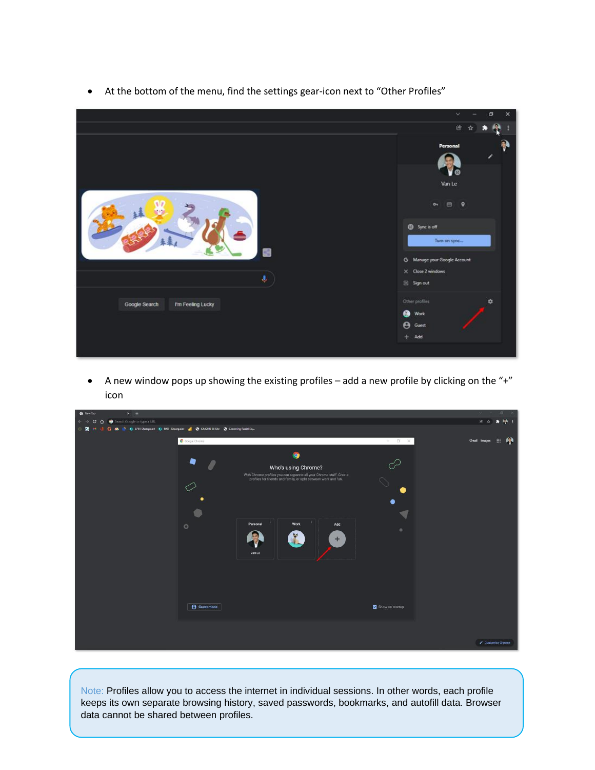

• At the bottom of the menu, find the settings gear-icon next to "Other Profiles"

• A new window pops up showing the existing profiles  $-$  add a new profile by clicking on the "+" icon

Note: Profiles allow you to access the internet in individual sessions. In other words, each profile keeps its own separate browsing history, saved passwords, bookmarks, and autofill data. Browser data cannot be shared between profiles.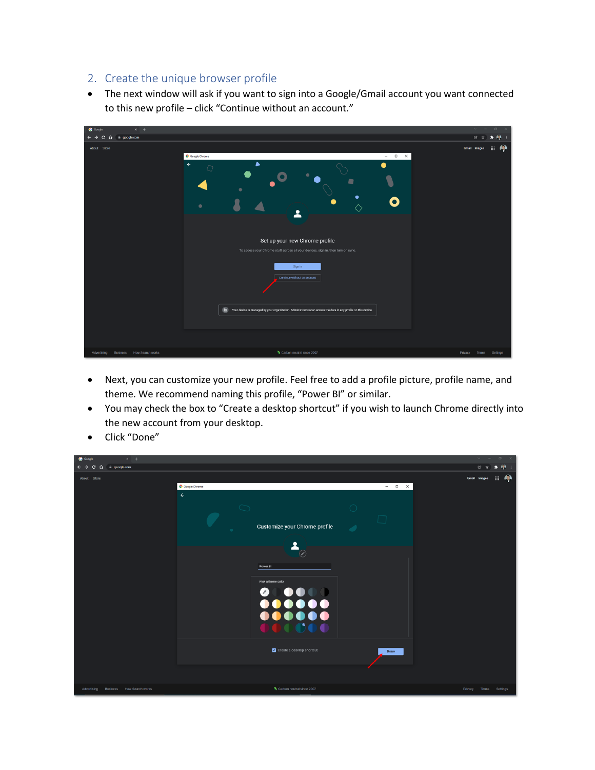## 2. Create the unique browser profile

• The next window will ask if you want to sign into a Google/Gmail account you want connected to this new profile – click "Continue without an account."

- Next, you can customize your new profile. Feel free to add a profile picture, profile name, and theme. We recommend naming this profile, "Power BI" or similar.
- You may check the box to "Create a desktop shortcut" if you wish to launch Chrome directly into the new account from your desktop.

| $x +$<br>Google                                 |                                                                                                                                                                                                                                                              | $\vee$<br>$\sigma$ $\times$ |
|-------------------------------------------------|--------------------------------------------------------------------------------------------------------------------------------------------------------------------------------------------------------------------------------------------------------------|-----------------------------|
| $\leftarrow$ $\rightarrow$<br>C O ii google.com |                                                                                                                                                                                                                                                              | $A +$<br>图 ☆<br>۰           |
| About Store                                     | Google Chrome<br>$- \quad \  \  \Box \qquad \times$<br>$\leftarrow$<br>Customize your Chrome profile<br>٠<br>≗<br>$\odot$<br>Power BI<br>Pick a theme color<br>$\bullet$<br>$\left( \mathscr{E}\right)$<br>$\bullet\bullet$<br>000000<br>000000<br><b>PO</b> | <b>B</b><br>Gmail Images    |
|                                                 | Create a desktop shortcut<br>Done                                                                                                                                                                                                                            |                             |
| Business How Search works<br>Advertising        | Carbon neutral since 2007                                                                                                                                                                                                                                    | Privacy Terms Settings      |

• Click "Done"